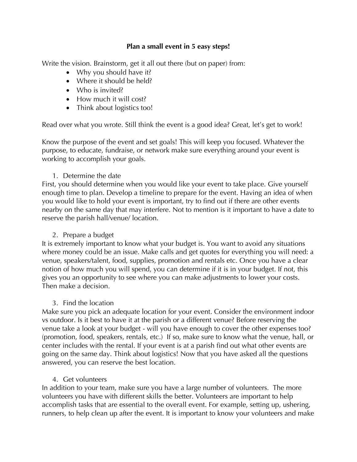#### **Plan a small event in 5 easy steps!**

Write the vision. Brainstorm, get it all out there (but on paper) from:

- Why you should have it?
- Where it should be held?
- Who is invited?
- How much it will cost?
- Think about logistics too!

Read over what you wrote. Still think the event is a good idea? Great, let's get to work!

Know the purpose of the event and set goals! This will keep you focused. Whatever the purpose, to educate, fundraise, or network make sure everything around your event is working to accomplish your goals.

## 1. Determine the date

First, you should determine when you would like your event to take place. Give yourself enough time to plan. Develop a timeline to prepare for the event. Having an idea of when you would like to hold your event is important, try to find out if there are other events nearby on the same day that may interfere. Not to mention is it important to have a date to reserve the parish hall/venue/ location.

# 2. Prepare a budget

It is extremely important to know what your budget is. You want to avoid any situations where money could be an issue. Make calls and get quotes for everything you will need: a venue, speakers/talent, food, supplies, promotion and rentals etc. Once you have a clear notion of how much you will spend, you can determine if it is in your budget. If not, this gives you an opportunity to see where you can make adjustments to lower your costs. Then make a decision.

## 3. Find the location

Make sure you pick an adequate location for your event. Consider the environment indoor vs outdoor. Is it best to have it at the parish or a different venue? Before reserving the venue take a look at your budget - will you have enough to cover the other expenses too? (promotion, food, speakers, rentals, etc.) If so, make sure to know what the venue, hall, or center includes with the rental. If your event is at a parish find out what other events are going on the same day. Think about logistics! Now that you have asked all the questions answered, you can reserve the best location.

## 4. Get volunteers

In addition to your team, make sure you have a large number of volunteers. The more volunteers you have with different skills the better. Volunteers are important to help accomplish tasks that are essential to the overall event. For example, setting up, ushering, runners, to help clean up after the event. It is important to know your volunteers and make